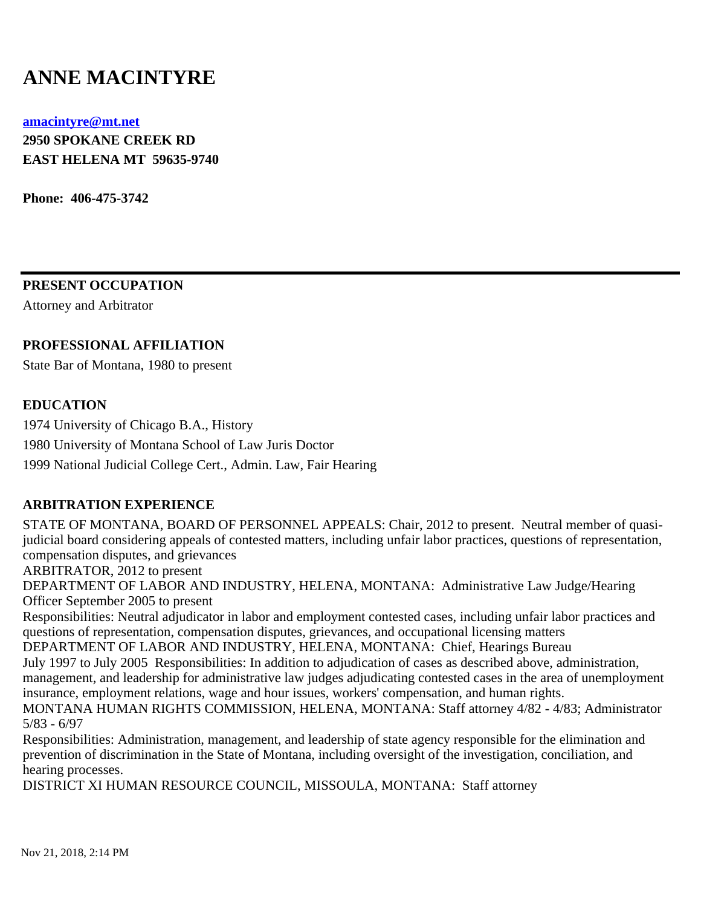# **ANNE MACINTYRE**

#### **[amacintyre@mt.net](mailto:amacintyre@mt.net)**

**2950 SPOKANE CREEK RD EAST HELENA MT 59635-9740**

**Phone: 406-475-3742**

**PRESENT OCCUPATION**

Attorney and Arbitrator

# **PROFESSIONAL AFFILIATION**

State Bar of Montana, 1980 to present

# **EDUCATION**

1974 University of Chicago B.A., History 1980 University of Montana School of Law Juris Doctor 1999 National Judicial College Cert., Admin. Law, Fair Hearing

# **ARBITRATION EXPERIENCE**

STATE OF MONTANA, BOARD OF PERSONNEL APPEALS: Chair, 2012 to present. Neutral member of quasijudicial board considering appeals of contested matters, including unfair labor practices, questions of representation, compensation disputes, and grievances

ARBITRATOR, 2012 to present

DEPARTMENT OF LABOR AND INDUSTRY, HELENA, MONTANA: Administrative Law Judge/Hearing Officer September 2005 to present

Responsibilities: Neutral adjudicator in labor and employment contested cases, including unfair labor practices and questions of representation, compensation disputes, grievances, and occupational licensing matters

DEPARTMENT OF LABOR AND INDUSTRY, HELENA, MONTANA: Chief, Hearings Bureau July 1997 to July 2005 Responsibilities: In addition to adjudication of cases as described above, administration, management, and leadership for administrative law judges adjudicating contested cases in the area of unemployment insurance, employment relations, wage and hour issues, workers' compensation, and human rights. MONTANA HUMAN RIGHTS COMMISSION, HELENA, MONTANA: Staff attorney 4/82 - 4/83; Administrator 5/83 - 6/97

Responsibilities: Administration, management, and leadership of state agency responsible for the elimination and prevention of discrimination in the State of Montana, including oversight of the investigation, conciliation, and hearing processes.

DISTRICT XI HUMAN RESOURCE COUNCIL, MISSOULA, MONTANA: Staff attorney